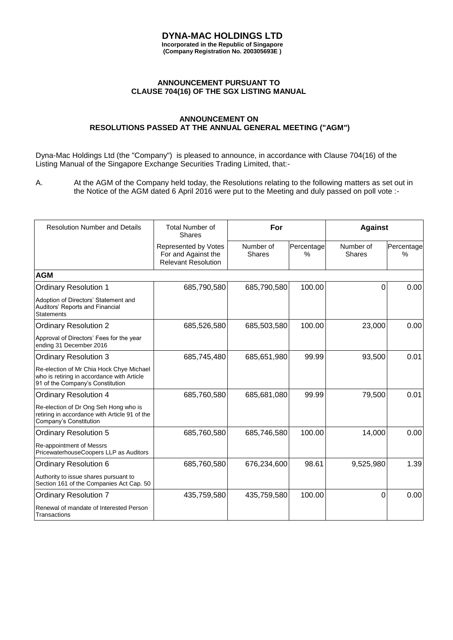## **DYNA-MAC HOLDINGS LTD Incorporated in the Republic of Singapore**

**(Company Registration No. 200305693E )**

## **ANNOUNCEMENT PURSUANT TO CLAUSE 704(16) OF THE SGX LISTING MANUAL**

## **ANNOUNCEMENT ON RESOLUTIONS PASSED AT THE ANNUAL GENERAL MEETING ("AGM")**

Dyna-Mac Holdings Ltd (the "Company") is pleased to announce, in accordance with Clause 704(16) of the Listing Manual of the Singapore Exchange Securities Trading Limited, that:-

A. At the AGM of the Company held today, the Resolutions relating to the following matters as set out in the Notice of the AGM dated 6 April 2016 were put to the Meeting and duly passed on poll vote :-

| <b>Resolution Number and Details</b>                                                                                       | <b>Total Number of</b><br><b>Shares</b>                                   | For                        |                    | <b>Against</b>             |                 |
|----------------------------------------------------------------------------------------------------------------------------|---------------------------------------------------------------------------|----------------------------|--------------------|----------------------------|-----------------|
|                                                                                                                            | Represented by Votes<br>For and Against the<br><b>Relevant Resolution</b> | Number of<br><b>Shares</b> | Percentage<br>$\%$ | Number of<br><b>Shares</b> | Percentage<br>% |
| <b>AGM</b>                                                                                                                 |                                                                           |                            |                    |                            |                 |
| <b>Ordinary Resolution 1</b>                                                                                               | 685,790,580                                                               | 685,790,580                | 100.00             | 0                          | 0.00            |
| Adoption of Directors' Statement and<br>Auditors' Reports and Financial<br><b>Statements</b>                               |                                                                           |                            |                    |                            |                 |
| <b>Ordinary Resolution 2</b>                                                                                               | 685,526,580                                                               | 685,503,580                | 100.00             | 23,000                     | 0.00            |
| Approval of Directors' Fees for the year<br>ending 31 December 2016                                                        |                                                                           |                            |                    |                            |                 |
| <b>Ordinary Resolution 3</b>                                                                                               | 685,745,480                                                               | 685,651,980                | 99.99              | 93,500                     | 0.01            |
| Re-election of Mr Chia Hock Chye Michael<br>who is retiring in accordance with Article<br>91 of the Company's Constitution |                                                                           |                            |                    |                            |                 |
| <b>Ordinary Resolution 4</b>                                                                                               | 685,760,580                                                               | 685,681,080                | 99.99              | 79,500                     | 0.01            |
| Re-election of Dr Ong Seh Hong who is<br>retiring in accordance with Article 91 of the<br>Company's Constitution           |                                                                           |                            |                    |                            |                 |
| <b>Ordinary Resolution 5</b>                                                                                               | 685,760,580                                                               | 685,746,580                | 100.00             | 14,000                     | 0.00            |
| Re-appointment of Messrs<br>PricewaterhouseCoopers LLP as Auditors                                                         |                                                                           |                            |                    |                            |                 |
| <b>Ordinary Resolution 6</b>                                                                                               | 685,760,580                                                               | 676,234,600                | 98.61              | 9,525,980                  | 1.39            |
| Authority to issue shares pursuant to<br>Section 161 of the Companies Act Cap. 50                                          |                                                                           |                            |                    |                            |                 |
| <b>Ordinary Resolution 7</b>                                                                                               | 435,759,580                                                               | 435,759,580                | 100.00             | 0                          | 0.00            |
| Renewal of mandate of Interested Person<br>Transactions                                                                    |                                                                           |                            |                    |                            |                 |